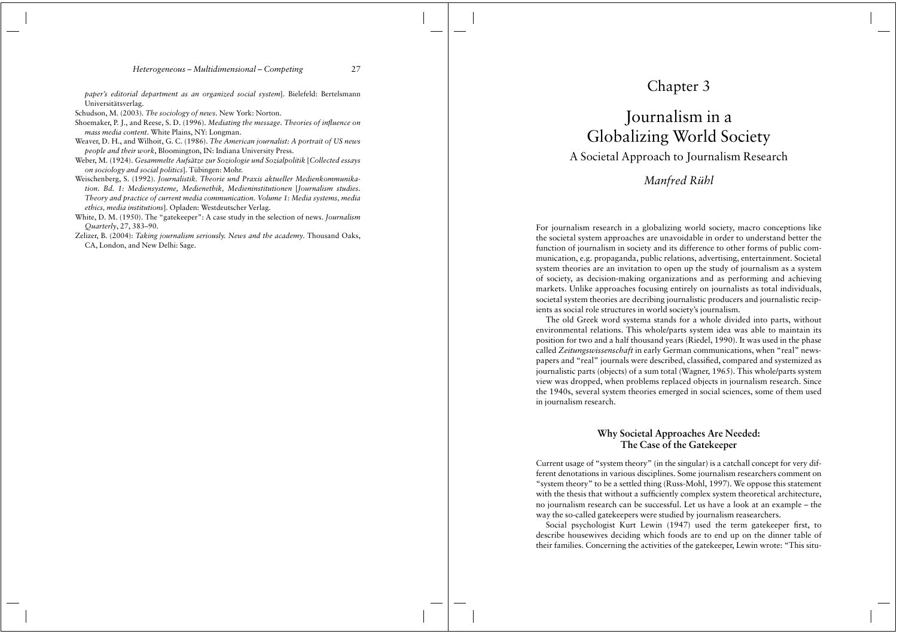#### *Heterogeneous – Multidimensional – Competing* 27

*paper's editorial department as an organized social system*]. Bielefeld: Bertelsmann Universitätsverlag.

Schudson, M. (2003). *The sociology of news*. New York: Norton.

- Shoemaker, P. J., and Reese, S. D. (1996). *Mediating the message. Theories of influence on mass media content*. White Plains, NY: Longman.
- Weaver, D. H., and Wilhoit, G. C. (1986). *The American journalist: A portrait of US news people and their work*, Bloomington, IN: Indiana University Press.
- Weber, M. (1924). *Gesammelte Aufsätze zur Soziologie und Sozialpolitik* [*Collected essays on sociology and social politics*]. Tübingen: Mohr.
- Weischenberg, S. (1992). *Journalistik. Theorie und Praxis aktueller Medienkommunikation. Bd. 1: Mediensysteme, Medienethik, Medieninstitutionen* [*Journalism studies. Theory and practice of current media communication. Volume 1: Media systems, media ethics, media institutions*]. Opladen: Westdeutscher Verlag.
- White, D. M. (1950). The "gatekeeper": A case study in the selection of news. *JournalismQuarterly*, 27, 383–90.
- Zelizer, B. (2004): *Taking journalism seriously. News and the academy*. Thousand Oaks, CA, London, and New Delhi: Sage.

# Chapter 3

# Journalism in a Globalizing World SocietyA Societal Approach to Journalism Research

*Manfred Rühl*

For journalism research in a globalizing world society, macro conceptions like the societal system approaches are unavoidable in order to understand better the function of journalism in society and its difference to other forms of public communication, e.g. propaganda, public relations, advertising, entertainment. Societal system theories are an invitation to open up the study of journalism as a system of society, as decision- making organizations and as performing and achieving markets. Unlike approaches focusing entirely on journalists as total individuals, societal system theories are decribing journalistic producers and journalistic recipients as social role structures in world society's journalism.

 The old Greek word systema stands for a whole divided into parts, without environmental relations. This whole/parts system idea was able to maintain its position for two and a half thousand years (Riedel, 1990). It was used in the phase called *Zeitungswissenschaft* in early German communications, when "real" newspapers and "real" journals were described, classified, compared and systemized as journalistic parts (objects) of a sum total (Wagner, 1965). This whole/parts system view was dropped, when problems replaced objects in journalism research. Since the 1940s, several system theories emerged in social sciences, some of them used in journalism research.

# **Why Societal Approaches Are Needed:The Case of the Gatekeeper**

Current usage of "system theory" (in the singular) is a catchall concept for very different denotations in various disciplines. Some journalism researchers comment on "system theory" to be a settled thing (Russ- Mohl, 1997). We oppose this statement with the thesis that without a sufficiently complex system theoretical architecture, no journalism research can be successful. Let us have a look at an example – the way the so-called gatekeepers were studied by journalism reasearchers.

Social psychologist Kurt Lewin (1947) used the term gatekeeper first, to describe housewives deciding which foods are to end up on the dinner table of their families. Concerning the activities of the gatekeeper, Lewin wrote: "This situ-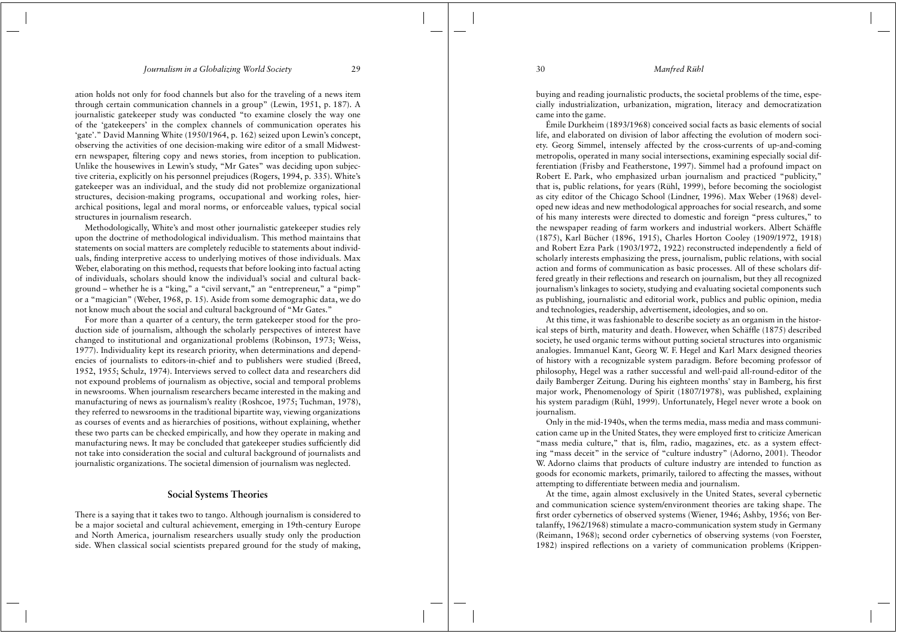ation holds not only for food channels but also for the traveling of a news item through certain communication channels in a group" (Lewin, 1951, p. 187). A journalistic gatekeeper study was conducted "to examine closely the way one of the 'gatekeepers' in the complex channels of communication operates his 'gate'." David Manning White (1950/1964, p. 162) seized upon Lewin's concept, observing the activities of one decision- making wire editor of a small Midwestern newspaper, filtering copy and news stories, from inception to publication. Unlike the housewives in Lewin's study, "Mr Gates" was deciding upon subjective criteria, explicitly on his personnel prejudices (Rogers, 1994, p. 335). White's gatekeeper was an individual, and the study did not problemize organizational structures, decision-making programs, occupational and working roles, hierarchical positions, legal and moral norms, or enforceable values, typical social structures in journalism research.

Methodologically, White's and most other journalistic gatekeeper studies rely upon the doctrine of methodological individualism. This method maintains that statements on social matters are completely reducible to statements about individuals, finding interpretive access to underlying motives of those individuals. Max Weber, elaborating on this method, requests that before looking into factual acting of individuals, scholars should know the individual's social and cultural background – whether he is a "king," a "civil servant," an "entrepreneur," a "pimp" or a "magician" (Weber, 1968, p. 15). Aside from some demographic data, we do not know much about the social and cultural background of "Mr Gates."

 For more than a quarter of a century, the term gatekeeper stood for the production side of journalism, although the scholarly perspectives of interest have changed to institutional and organizational problems (Robinson, 1973; Weiss, 1977). Individuality kept its research priority, when determinations and dependencies of journalists to editors-in-chief and to publishers were studied (Breed, 1952, 1955; Schulz, 1974). Interviews served to collect data and researchers did not expound problems of journalism as objective, social and temporal problems in newsrooms. When journalism researchers became interested in the making and manufacturing of news as journalism's reality (Roshcoe, 1975; Tuchman, 1978), they referred to newsrooms in the traditional bipartite way, viewing organizations as courses of events and as hierarchies of positions, without explaining, whether these two parts can be checked empirically, and how they operate in making and manufacturing news. It may be concluded that gatekeeper studies sufficiently did not take into consideration the social and cultural background of journalists and journalistic organizations. The societal dimension of journalism was neglected.

# **Social Systems Theories**

There is a saying that it takes two to tango. Although journalism is considered to be a major societal and cultural achievement, emerging in 19th-century Europe and North America, journalism researchers usually study only the production side. When classical social scientists prepared ground for the study of making,

30

#### *Manfred Rühl*

buying and reading journalistic products, the societal problems of the time, especially industrialization, urbanization, migration, literacy and democratization came into the game.

 Émile Durkheim (1893/1968) conceived social facts as basic elements of social life, and elaborated on division of labor affecting the evolution of modern society. Georg Simmel, intensely affected by the cross-currents of up-and-coming metropolis, operated in many social intersections, examining especially social differentiation (Frisby and Featherstone, 1997). Simmel had a profound impact on Robert E. Park, who emphasized urban journalism and practiced "publicity," that is, public relations, for years (Rühl, 1999), before becoming the sociologist as city editor of the Chicago School (Lindner, 1996). Max Weber (1968) developed new ideas and new methodological approaches for social research, and some of his many interests were directed to domestic and foreign "press cultures," to the newspaper reading of farm workers and industrial workers. Albert Schäffle (1875), Karl Bücher (1896, 1915), Charles Horton Cooley (1909/1972, 1918) and Robert Ezra Park (1903/1972, 1922) reconstructed independently a field of scholarly interests emphasizing the press, journalism, public relations, with social action and forms of communication as basic processes. All of these scholars differed greatly in their reflections and research on journalism, but they all recognized journalism's linkages to society, studying and evaluating societal components such as publishing, journalistic and editorial work, publics and public opinion, media and technologies, readership, advertisement, ideologies, and so on.

 At this time, it was fashionable to describe society as an organism in the historical steps of birth, maturity and death. However, when Schäffle (1875) described society, he used organic terms without putting societal structures into organismic analogies. Immanuel Kant, Georg W. F. Hegel and Karl Marx designed theories of history with a recognizable system paradigm. Before becoming professor of philosophy, Hegel was a rather successful and well-paid all-round-editor of the daily Bamberger Zeitung. During his eighteen months' stay in Bamberg, his first major work, Phenomenology of Spirit (1807/1978), was published, explaining his system paradigm (Rühl, 1999). Unfortunately, Hegel never wrote a book on journalism.

 Only in the mid- 1940s, when the terms media, mass media and mass communication came up in the United States, they were employed first to criticize American "mass media culture," that is, film, radio, magazines, etc. as a system effecting "mass deceit" in the service of "culture industry" (Adorno, 2001). Theodor W. Adorno claims that products of culture industry are intended to function as goods for economic markets, primarily, tailored to affecting the masses, without attempting to differentiate between media and journalism.

At the time, again almost exclusively in the United States, several cybernetic and communication science system/environment theories are taking shape. The first order cybernetics of observed systems (Wiener, 1946; Ashby, 1956; von Bertalanffy, 1962/1968) stimulate a macro- communication system study in Germany (Reimann, 1968); second order cybernetics of observing systems (von Foerster, 1982) inspired reflections on a variety of communication problems (Krippen-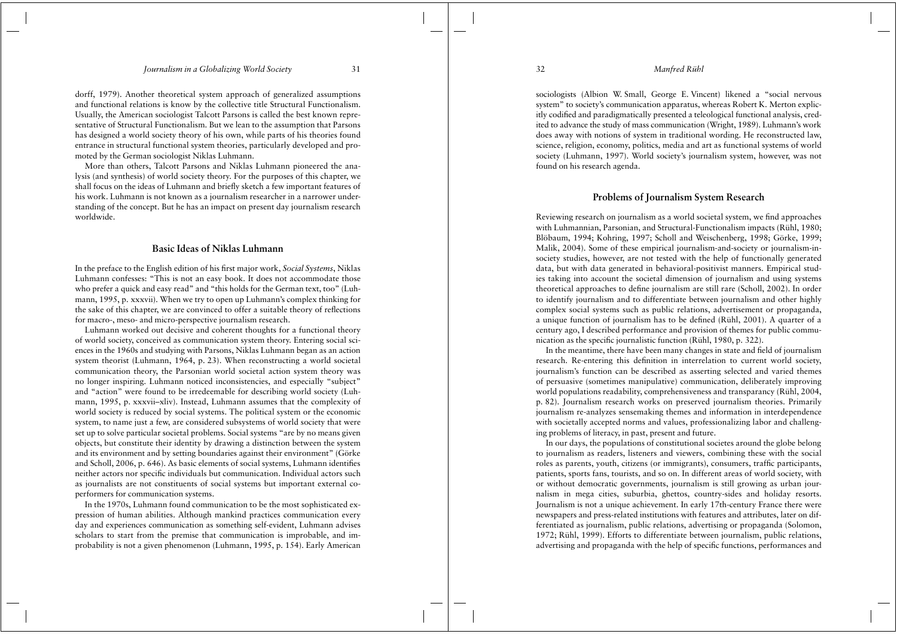dorff, 1979). Another theoretical system approach of generalized assumptions and functional relations is know by the collective title Structural Functionalism. Usually, the American sociologist Talcott Parsons is called the best known representative of Structural Functionalism. But we lean to the assumption that Parsons has designed a world society theory of his own, while parts of his theories found entrance in structural functional system theories, particularly developed and promoted by the German sociologist Niklas Luhmann.

More than others, Talcott Parsons and Niklas Luhmann pioneered the analysis (and synthesis) of world society theory. For the purposes of this chapter, we shall focus on the ideas of Luhmann and briefly sketch a few important features of his work. Luhmann is not known as a journalism researcher in a narrower understanding of the concept. But he has an impact on present day journalism research worldwide.

# **Basic Ideas of Niklas Luhmann**

In the preface to the English edition of his first major work, *Social Systems*, Niklas Luhmann confesses: "This is not an easy book. It does not accommodate those who prefer a quick and easy read" and "this holds for the German text, too" (Luhmann, 1995, p. xxxvii). When we try to open up Luhmann's complex thinking for the sake of this chapter, we are convinced to offer a suitable theory of reflections for macro-, meso- and micro-perspective journalism research.

Luhmann worked out decisive and coherent thoughts for a functional theory of world society, conceived as communication system theory. Entering social sciences in the 1960s and studying with Parsons, Niklas Luhmann began as an action system theorist (Luhmann, 1964, p. 23). When reconstructing a world societal communication theory, the Parsonian world societal action system theory was no longer inspiring. Luhmann noticed inconsistencies, and especially "subject" and "action" were found to be irredeemable for describing world society (Luhmann, 1995, p. xxxvii–xliv). Instead, Luhmann assumes that the complexity of world society is reduced by social systems. The political system or the economic system, to name just a few, are considered subsystems of world society that were set up to solve particular societal problems. Social systems "are by no means given objects, but constitute their identity by drawing a distinction between the system and its environment and by setting boundaries against their environment" (Görke and Scholl, 2006, p. 646). As basic elements of social systems, Luhmann identifies neither actors nor specific individuals but communication. Individual actors such as journalists are not constituents of social systems but important external coperformers for communication systems.

In the 1970s, Luhmann found communication to be the most sophisticated expression of human abilities. Although mankind practices communication every day and experiences communication as something self-evident, Luhmann advises scholars to start from the premise that communication is improbable, and improbability is not a given phenomenon (Luhmann, 1995, p. 154). Early American

32

#### *Manfred Rühl*

sociologists (Albion W. Small, George E. Vincent) likened a "social nervous system" to society's communication apparatus, whereas Robert K. Merton explicitly codified and paradigmatically presented a teleological functional analysis, credited to advance the study of mass communication (Wright, 1989). Luhmann's work does away with notions of system in traditional wording. He reconstructed law, science, religion, economy, politics, media and art as functional systems of world society (Luhmann, 1997). World society's journalism system, however, was not found on his research agenda.

## **Problems of Journalism System Research**

Reviewing research on journalism as a world societal system, we find approaches with Luhmannian, Parsonian, and Structural- Functionalism impacts (Rühl, 1980; Blöbaum, 1994; Kohring, 1997; Scholl and Weischenberg, 1998; Görke, 1999; Malik, 2004). Some of these empirical journalism-and-society or journalism-insociety studies, however, are not tested with the help of functionally generated data, but with data generated in behavioral- positivist manners. Empirical studies taking into account the societal dimension of journalism and using systems theoretical approaches to define journalism are still rare (Scholl, 2002). In order to identify journalism and to differentiate between journalism and other highly complex social systems such as public relations, advertisement or propaganda, a unique function of journalism has to be defined (Rühl, 2001). A quarter of a century ago, I described performance and provision of themes for public communication as the specific journalistic function (Rühl, 1980, p. 322).

In the meantime, there have been many changes in state and field of journalism research. Re-entering this definition in interrelation to current world society, journalism's function can be described as asserting selected and varied themes of persuasive (sometimes manipulative) communication, deliberately improving world populations readability, comprehensiveness and transparancy (Rühl, 2004, p. 82). Journalism research works on preserved journalism theories. Primarily journalism re-analyzes sensemaking themes and information in interdependence with societally accepted norms and values, professionalizing labor and challenging problems of literacy, in past, present and future.

 In our days, the populations of constitutional societes around the globe belong to journalism as readers, listeners and viewers, combining these with the social roles as parents, youth, citizens (or immigrants), consumers, traffic participants, patients, sports fans, tourists, and so on. In different areas of world society, with or without democratic governments, journalism is still growing as urban journalism in mega cities, suburbia, ghettos, country- sides and holiday resorts. Journalism is not a unique achievement. In early 17th- century France there were newspapers and press- related institutions with features and attributes, later on differentiated as journalism, public relations, advertising or propaganda (Solomon, 1972; Rühl, 1999). Efforts to differentiate between journalism, public relations, advertising and propaganda with the help of specific functions, performances and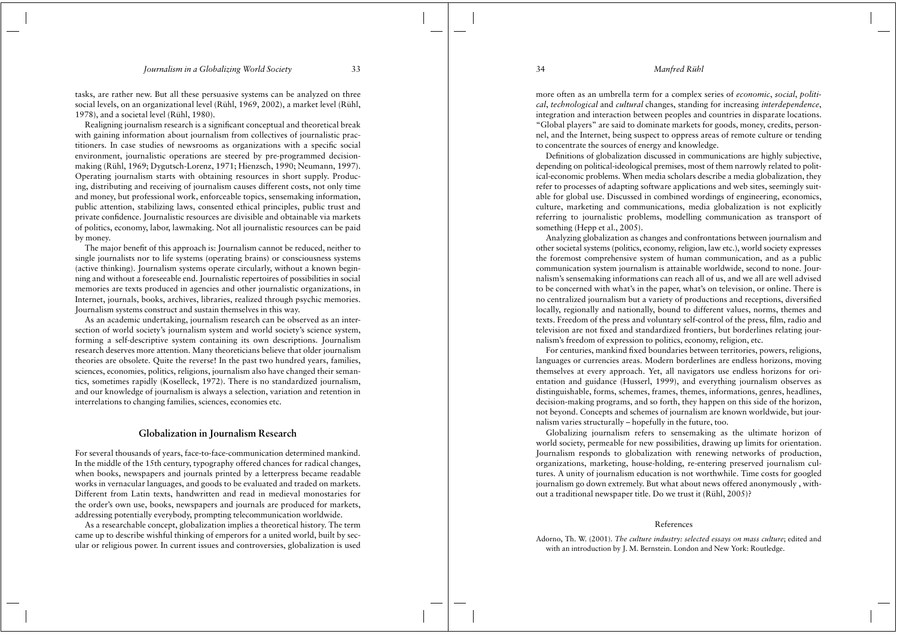tasks, are rather new. But all these persuasive systems can be analyzed on three social levels, on an organizational level (Rühl, 1969, 2002), a market level (Rühl, 1978), and a societal level (Rühl, 1980).

Realigning journalism research is a significant conceptual and theoretical break with gaining information about journalism from collectives of journalistic practitioners. In case studies of newsrooms as organizations with a specific social environment, journalistic operations are steered by pre-programmed decisionmaking (Rühl, 1969; Dygutsch- Lorenz, 1971; Hienzsch, 1990; Neumann, 1997). Operating journalism starts with obtaining resources in short supply. Producing, distributing and receiving of journalism causes different costs, not only time and money, but professional work, enforceable topics, sensemaking information, public attention, stabilizing laws, consented ethical principles, public trust and private confidence. Journalistic resources are divisible and obtainable via markets of politics, economy, labor, lawmaking. Not all journalistic resources can be paid by money.

The major benefit of this approach is: Journalism cannot be reduced, neither to single journalists nor to life systems (operating brains) or consciousness systems (active thinking). Journalism systems operate circularly, without a known beginning and without a foreseeable end. Journalistic repertoires of possibilities in social memories are texts produced in agencies and other journalistic organizations, in Internet, journals, books, archives, libraries, realized through psychic memories. Journalism systems construct and sustain themselves in this way.

 As an academic undertaking, journalism research can be observed as an intersection of world society's journalism system and world society's science system, forming a self- descriptive system containing its own descriptions. Journalism research deserves more attention. Many theoreticians believe that older journalism theories are obsolete. Quite the reverse! In the past two hundred years, families, sciences, economies, politics, religions, journalism also have changed their semantics, sometimes rapidly (Koselleck, 1972). There is no standardized journalism, and our knowledge of journalism is always a selection, variation and retention in interrelations to changing families, sciences, economies etc.

## **Globalization in Journalism Research**

For several thousands of years, face-to-face-communication determined mankind. In the middle of the 15th century, typography offered chances for radical changes, when books, newspapers and journals printed by a letterpress became readable works in vernacular languages, and goods to be evaluated and traded on markets. Different from Latin texts, handwritten and read in medieval monostaries for the order's own use, books, newspapers and journals are produced for markets, addressing potentially everybody, prompting telecommunication worldwide.

 As a researchable concept, globalization implies a theoretical history. The term came up to describe wishful thinking of emperors for a united world, built by secular or religious power. In current issues and controversies, globalization is used

# more often as an umbrella term for a complex series of *economic*, *social*, *political*, *technological* and *cultural* changes, standing for increasing *interdependence*, integration and interaction between peoples and countries in disparate locations. "Global players" are said to dominate markets for goods, money, credits, personnel, and the Internet, being suspect to oppress areas of remote culture or tending to concentrate the sources of energy and knowledge.

*Manfred Rühl* 

Definitions of globalization discussed in communications are highly subjective, depending on political- ideological premises, most of them narrowly related to political-economic problems. When media scholars describe a media globalization, they refer to processes of adapting software applications and web sites, seemingly suitable for global use. Discussed in combined wordings of engineering, economics, culture, marketing and communications, media globalization is not explicitly referring to journalistic problems, modelling communication as transport of something (Hepp et al., 2005).

 Analyzing globalization as changes and confrontations between journalism and other societal systems (politics, economy, religion, law etc.), world society expresses the foremost comprehensive system of human communication, and as a public communication system journalism is attainable worldwide, second to none. Journalism's sensemaking informations can reach all of us, and we all are well advised to be concerned with what's in the paper, what's on television, or online. There is no centralized journalism but a variety of productions and receptions, diversified locally, regionally and nationally, bound to different values, norms, themes and texts. Freedom of the press and voluntary self-control of the press, film, radio and television are not fixed and standardized frontiers, but borderlines relating journalism's freedom of expression to politics, economy, religion, etc.

For centuries, mankind fixed boundaries between territories, powers, religions, languages or currencies areas. Modern borderlines are endless horizons, moving themselves at every approach. Yet, all navigators use endless horizons for orientation and guidance (Husserl, 1999), and everything journalism observes as distinguishable, forms, schemes, frames, themes, informations, genres, headlines, decision-making programs, and so forth, they happen on this side of the horizon, not beyond. Concepts and schemes of journalism are known worldwide, but journalism varies structurally – hopefully in the future, too.

 Globalizing journalism refers to sensemaking as the ultimate horizon of world society, permeable for new possibilities, drawing up limits for orientation. Journalism responds to globalization with renewing networks of production, organizations, marketing, house- holding, re- entering preserved journalism cultures. A unity of journalism education is not worthwhile. Time costs for googled journalism go down extremely. But what about news offered anonymously , without a traditional newspaper title. Do we trust it (Rühl, 2005)?

#### References

Adorno, Th. W. (2001). *The culture industry: selected essays on mass culture*; edited and with an introduction by J. M. Bernstein. London and New York: Routledge.

34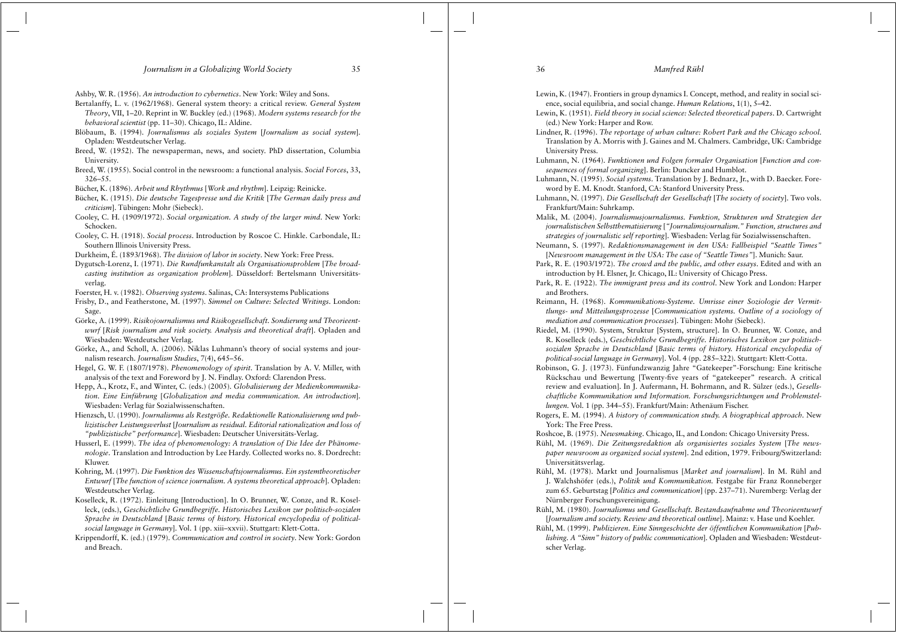Ashby, W. R. (1956). *An introduction to cybernetics*. New York: Wiley and Sons.

- Bertalanffy, L. v. (1962/1968). General system theory: a critical review. *General System Theory*, VII, 1–20. Reprint in W. Buckley (ed.) (1968). *Modern systems research for the behavioral scientist* (pp. 11–30). Chicago, IL: Aldine.
- Blöbaum, B. (1994). *Journalismus als soziales System* [*Journalism as social system*].Opladen: Westdeutscher Verlag.
- Breed, W. (1952). The newspaperman, news, and society. PhD dissertation, Columbia University.
- Breed, W. (1955). Social control in the newsroom: a functional analysis. *Social Forces*, 33, 326–55.
- Bücher, K. (1896). *Arbeit und Rhythmus* [*Work and rhythm*]. Leipzig: Reinicke.
- Bücher, K. (1915). *Die deutsche Tagespresse und die Kritik* [*The German daily press and criticism*]. Tübingen: Mohr (Siebeck).
- Cooley, C. H. (1909/1972). *Social organization. A study of the larger mind*. New York: Schocken.
- Cooley, C. H. (1918). *Social process*. Introduction by Roscoe C. Hinkle. Carbondale, IL: Southern Illinois University Press.
- Durkheim, É. (1893/1968). *The division of labor in society*. New York: Free Press.
- Dygutsch-Lorenz, I. (1971). *Die Rundfunkanstalt als Organisationsproblem* [*The broadcasting institution as organization problem*]. Düsseldorf: Bertelsmann Universitätsverlag.
- Foerster, H. v. (1982). *Observing systems*. Salinas, CA: Intersystems Publications
- Frisby, D., and Featherstone, M. (1997). *Simmel on Culture: Selected Writings*. London: Sage.
- Görke, A. (1999). *Risikojournalismus und Risikogesellschaft. Sondierung und Theorieentwurf* [*Risk journalism and risk society. Analysis and theoretical draft*]. Opladen and Wiesbaden: Westdeutscher Verlag.
- Görke, A., and Scholl, A. (2006). Niklas Luhmann's theory of social systems and journalism research. *Journalism Studies*, 7(4), 645–56.
- Hegel, G. W. F. (1807/1978). *Phenomenology of spirit*. Translation by A. V. Miller, with analysis of the text and Foreword by J. N. Findlay. Oxford: Clarendon Press.
- Hepp, A., Krotz, F., and Winter, C. (eds.) (2005). *Globalisierung der Medienkommunikation. Eine Einführung* [*Globalization and media communication. An introduction*].Wiesbaden: Verlag für Sozialwissenschaften.
- Hienzsch, U. (1990). *Journalismus als Restgröße. Redaktionelle Rationalisierung und publizistischer Leistungsverlust* [*Journalism as residual. Editorial rationalization and loss of "publizistische" performance*]. Wiesbaden: Deutscher Universitäts- Verlag.
- Husserl, E. (1999). *The idea of phenomenology: A translation of Die Idee der Phänomenologie*. Translation and Introduction by Lee Hardy. Collected works no. 8. Dordrecht: Kluwer.
- Kohring, M. (1997). *Die Funktion des Wissenschaftsjournalismus. Ein systemtheoretischer Entwurf* [*The function of science journalism. A systems theoretical approach*]. Opladen: Westdeutscher Verlag.
- Koselleck, R. (1972). Einleitung [Introduction]. In O. Brunner, W. Conze, and R. Koselleck, (eds.), *Geschichtliche Grundbegriffe. Historisches Lexikon zur politisch- sozialen Sprache in Deutschland* [*Basic terms of history. Historical encyclopedia of politicalsocial language in Germany*]. Vol. 1 (pp. xiii–xxvii). Stuttgart: Klett- Cotta.
- Krippendorff, K. (ed.) (1979). *Communication and control in society*. New York: Gordon and Breach.

36

#### *Manfred Rühl*

Lewin, K. (1947). Frontiers in group dynamics I. Concept, method, and reality in social science, social equilibria, and social change. *Human Relations*, 1(1), 5–42.

- Lewin, K. (1951). *Field theory in social science: Selected theoretical papers*. D. Cartwright (ed.) New York: Harper and Row.
- Lindner, R. (1996). *The reportage of urban culture: Robert Park and the Chicago school*. Translation by A. Morris with J. Gaines and M. Chalmers. Cambridge, UK: Cambridge University Press.
- Luhmann, N. (1964). *Funktionen und Folgen formaler Organisation* [*Function and consequences of formal organizing*]. Berlin: Duncker and Humblot.
- Luhmann, N. (1995). *Social systems*. Translation by J. Bednarz, Jr., with D. Baecker. Foreword by E. M. Knodt. Stanford, CA: Stanford University Press.
- Luhmann, N. (1997). *Die Gesellschaft der Gesellschaft* [*The society of society*]. Two vols. Frankfurt/Main: Suhrkamp.
- Malik, M. (2004). *Journalismusjournalismus. Funktion, Strukturen und Strategien der journalistischen Selbstthematisierung* [*"Journalimsjournalism." Function, structures and strategies of journalistic self reporting*]. Wiesbaden: Verlag für Sozialwissenschaften.
- Neumann, S. (1997). *Redaktionsmanagement in den USA: Fallbeispiel "Seattle Times"*[*Newsroom management in the USA: The case of "Seattle Times"*]. Munich: Saur.
- Park, R. E. (1903/1972). *The crowd and the public, and other essays*. Edited and with an introduction by H. Elsner, Jr. Chicago, IL: University of Chicago Press.
- Park, R. E. (1922). *The immigrant press and its control*. New York and London: Harper and Brothers.
- Reimann, H. (1968). *Kommunikations-Systeme. Umrisse einer Soziologie der Vermittlungs- und Mitteilungsprozesse* [*Communication systems. Outline of a sociology of mediation and communication processes*]. Tübingen: Mohr (Siebeck).
- Riedel, M. (1990). System, Struktur [System, structure]. In O. Brunner, W. Conze, and R. Koselleck (eds.), *Geschichtliche Grundbegriffe. Historisches Lexikon zur politischsozialen Sprache in Deutschland* [*Basic terms of history. Historical encyclopedia of political-social language in Germany*]. Vol. 4 (pp. 285–322). Stuttgart: Klett- Cotta.
- Robinson, G. J. (1973). Fünfundzwanzig Jahre "Gatekeeper"- Forschung: Eine kritische Rückschau und Bewertung [Twenty-five years of "gatekeeper" research. A critical review and evaluation]. In J. Aufermann, H. Bohrmann, and R. Sülzer (eds.), *Gesellschaftliche Kommunikation und Information. Forschungsrichtungen und Problemstellungen.* Vol. 1 (pp. 344–55). Frankfurt/Main: Athenäum Fischer.
- Rogers, E. M. (1994). *A history of communication study. A biographical approach*. New York: The Free Press.
- Roshcoe, B. (1975). *Newsmaking*. Chicago, IL, and London: Chicago University Press.
- Rühl, M. (1969). *Die Zeitungsredaktion als organisiertes soziales System* [*The newspaper newsroom as organized social system*]. 2nd edition, 1979. Fribourg/Switzerland: Universitätsverlag.
- Rühl, M. (1978). Markt und Journalismus [*Market and journalism*]. In M. Rühl and J. Walchshöfer (eds.), *Politik und Kommunikation.* Festgabe für Franz Ronneberger zum 65. Geburtstag [*Politics and communication*] (pp. 237–71). Nuremberg: Verlag der Nürnberger Forschungsvereinigung.
- Rühl, M. (1980). *Journalismus und Gesellschaft. Bestandsaufnahme und Theorieentwurf* [*Journalism and society. Review and theoretical outline*]. Mainz: v. Hase und Koehler.
- Rühl, M. (1999). *Publizieren*. *Eine Sinngeschichte der öffentlichen Kommunikation* [*Publishing. A "Sinn" history of public communication*]. Opladen and Wiesbaden: Westdeutscher Verlag.